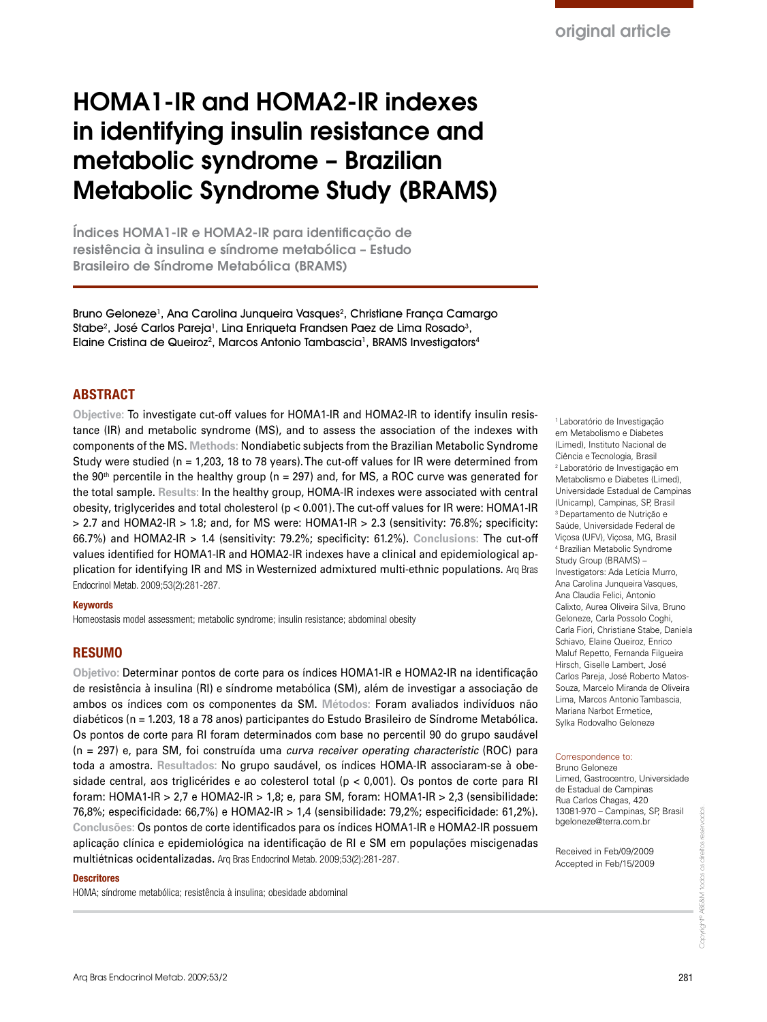de resistência à insulina (RI) e síndrome metabólica (SM), além de investigar a associação de ambos os índices com os componentes da SM. **Métodos:** Foram avaliados indivíduos não diabéticos (n = 1.203, 18 a 78 anos) participantes do Estudo Brasileiro de Síndrome Metabólica. Os pontos de corte para RI foram determinados com base no percentil 90 do grupo saudável (n = 297) e, para SM, foi construída uma *curva receiver operating characteristic* (ROC) para toda a amostra. **Resultados:** No grupo saudável, os índices HOMA-IR associaram-se à obesidade central, aos triglicérides e ao colesterol total (p < 0,001). Os pontos de corte para RI foram: HOMA1-IR > 2,7 e HOMA2-IR > 1,8; e, para SM, foram: HOMA1-IR > 2,3 (sensibilidade: 76,8%; especificidade: 66,7%) e HOMA2-IR > 1,4 (sensibilidade: 79,2%; especificidade: 61,2%). **Conclusões:** Os pontos de corte identificados para os índices HOMA1-IR e HOMA2-IR possuem aplicação clínica e epidemiológica na identificação de RI e SM em populações miscigenadas multiétnicas ocidentalizadas. Arq Bras Endocrinol Metab. 2009;53(2):281-287.

#### **Descritores**

HOMA; síndrome metabólica; resistência à insulina; obesidade abdominal

1 Laboratório de Investigação em Metabolismo e Diabetes (Limed), Instituto Nacional de Ciência e Tecnologia, Brasil 2 Laboratório de Investigação em Metabolismo e Diabetes (Limed), Universidade Estadual de Campinas (Unicamp), Campinas, SP, Brasil 3 Departamento de Nutrição e Saúde, Universidade Federal de Viçosa (UFV), Viçosa, MG, Brasil 4 Brazilian Metabolic Syndrome Study Group (BRAMS) – Investigators: Ada Letícia Murro, Ana Carolina Junqueira Vasques, Ana Claudia Felici, Antonio Calixto, Aurea Oliveira Silva, Bruno Geloneze, Carla Possolo Coghi, Carla Fiori, Christiane Stabe, Daniela Schiavo, Elaine Queiroz, Enrico Maluf Repetto, Fernanda Filgueira Hirsch, Giselle Lambert, José Carlos Pareja, José Roberto Matos-Souza, Marcelo Miranda de Oliveira Lima, Marcos Antonio Tambascia, Mariana Narbot Ermetice, Sylka Rodovalho Geloneze

#### Correspondence to:

Bruno Geloneze Limed, Gastrocentro, Universidade de Estadual de Campinas Rua Carlos Chagas, 420 13081-970 – Campinas, SP, Brasil bgeloneze@terra.com.br

Received in Feb/09/2009 Accepted in Feb/15/2009

# HOMA1-IR and HOMA2-IR indexes in identifying insulin resistance and metabolic syndrome – Brazilian Metabolic Syndrome Study (BRAMS)

Índices HOMA1-IR e HOMA2-IR para identificação de resistência à insulina e síndrome metabólica – Estudo Brasileiro de Síndrome Metabólica (BRAMS)

Bruno Geloneze<sup>1</sup>, Ana Carolina Junqueira Vasques<sup>2</sup>, Christiane França Camargo Stabe<sup>2</sup>, José Carlos Pareja<sup>1</sup>, Lina Enriqueta Frandsen Paez de Lima Rosado<sup>3</sup>, Elaine Cristina de Queiroz<sup>2</sup>, Marcos Antonio Tambascia<sup>1</sup>, BRAMS Investigators<sup>4</sup>

## **ABSTRACT**

**Objective:** To investigate cut-off values for HOMA1-IR and HOMA2-IR to identify insulin resistance (IR) and metabolic syndrome (MS), and to assess the association of the indexes with components of the MS. **Methods:** Nondiabetic subjects from the Brazilian Metabolic Syndrome Study were studied (n = 1,203, 18 to 78 years). The cut-off values for IR were determined from the  $90<sup>th</sup>$  percentile in the healthy group (n = 297) and, for MS, a ROC curve was generated for the total sample. **Results:** In the healthy group, HOMA-IR indexes were associated with central obesity, triglycerides and total cholesterol (p < 0.001). The cut-off values for IR were: HOMA1-IR  $> 2.7$  and HOMA2-IR  $> 1.8$ ; and, for MS were: HOMA1-IR  $> 2.3$  (sensitivity: 76.8%; specificity: 66.7%) and HOMA2-IR > 1.4 (sensitivity: 79.2%; specificity: 61.2%). **Conclusions:** The cut-off values identified for HOMA1-IR and HOMA2-IR indexes have a clinical and epidemiological application for identifying IR and MS in Westernized admixtured multi-ethnic populations. Arq Bras Endocrinol Metab. 2009;53(2):281-287.

#### Keywords

Homeostasis model assessment; metabolic syndrome; insulin resistance; abdominal obesity

#### RESUMO

Arq Bras Endocrinol Metab. 2009;53/2 281

Copyright© ABE&M todos os direitos reservados.

Copyright® ABE&M todos os direitos

eservados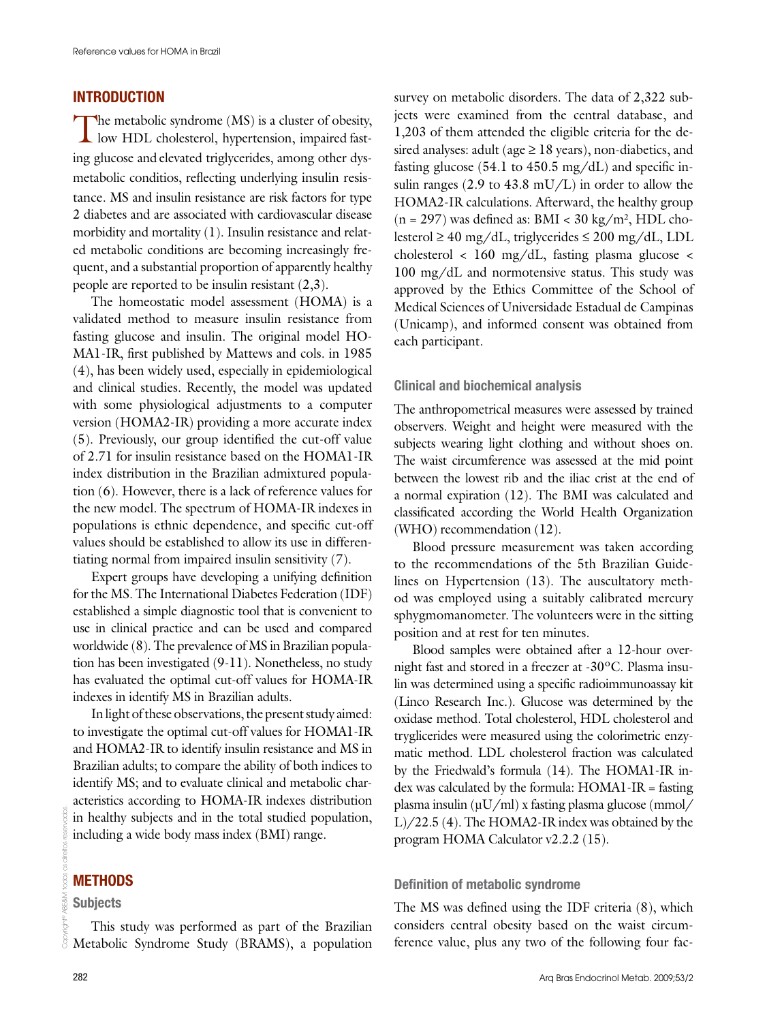# **INTRODUCTION**

The metabolic syndrome (MS) is a cluster of obesity, low HDL cholesterol, hypertension, impaired fasting glucose and elevated triglycerides, among other dysmetabolic conditios, reflecting underlying insulin resistance. MS and insulin resistance are risk factors for type 2 diabetes and are associated with cardiovascular disease morbidity and mortality (1). Insulin resistance and related metabolic conditions are becoming increasingly frequent, and a substantial proportion of apparently healthy people are reported to be insulin resistant (2,3).

The homeostatic model assessment (HOMA) is a validated method to measure insulin resistance from fasting glucose and insulin. The original model HO-MA1-IR, first published by Mattews and cols. in 1985 (4), has been widely used, especially in epidemiological and clinical studies. Recently, the model was updated with some physiological adjustments to a computer version (HOMA2-IR) providing a more accurate index (5). Previously, our group identified the cut-off value of 2.71 for insulin resistance based on the HOMA1-IR index distribution in the Brazilian admixtured population (6). However, there is a lack of reference values for the new model. The spectrum of HOMA-IR indexes in populations is ethnic dependence, and specific cut-off values should be established to allow its use in differentiating normal from impaired insulin sensitivity (7).

Expert groups have developing a unifying definition for the MS. The International Diabetes Federation (IDF) established a simple diagnostic tool that is convenient to use in clinical practice and can be used and compared worldwide (8). The prevalence of MS in Brazilian population has been investigated (9-11). Nonetheless, no study has evaluated the optimal cut-off values for HOMA-IR indexes in identify MS in Brazilian adults.

In light of these observations, the present study aimed: to investigate the optimal cut-off values for HOMA1-IR and HOMA2-IR to identify insulin resistance and MS in Brazilian adults; to compare the ability of both indices to identify MS; and to evaluate clinical and metabolic characteristics according to HOMA-IR indexes distribution in healthy subjects and in the total studied population, including a wide body mass index (BMI) range.

# **METHODS**

### **Subjects**

This study was performed as part of the Brazilian Metabolic Syndrome Study (BRAMS), a population survey on metabolic disorders. The data of 2,322 subjects were examined from the central database, and 1,203 of them attended the eligible criteria for the desired analyses: adult (age  $\geq$  18 years), non-diabetics, and fasting glucose (54.1 to 450.5 mg/dL) and specific insulin ranges (2.9 to  $43.8$  mU/L) in order to allow the HOMA2-IR calculations. Afterward, the healthy group  $(n = 297)$  was defined as: BMI < 30 kg/m<sup>2</sup>, HDL cholesterol ≥ 40 mg/dL, triglycerides ≤ 200 mg/dL, LDL cholesterol < 160 mg/dL, fasting plasma glucose < 100 mg/dL and normotensive status. This study was approved by the Ethics Committee of the School of Medical Sciences of Universidade Estadual de Campinas (Unicamp), and informed consent was obtained from each participant.

#### Clinical and biochemical analysis

The anthropometrical measures were assessed by trained observers. Weight and height were measured with the subjects wearing light clothing and without shoes on. The waist circumference was assessed at the mid point between the lowest rib and the iliac crist at the end of a normal expiration (12). The BMI was calculated and classificated according the World Health Organization (WHO) recommendation (12).

Blood pressure measurement was taken according to the recommendations of the 5th Brazilian Guidelines on Hypertension (13). The auscultatory method was employed using a suitably calibrated mercury sphygmomanometer. The volunteers were in the sitting position and at rest for ten minutes.

Blood samples were obtained after a 12-hour overnight fast and stored in a freezer at -30ºC. Plasma insulin was determined using a specific radioimmunoassay kit (Linco Research Inc.). Glucose was determined by the oxidase method. Total cholesterol, HDL cholesterol and tryglicerides were measured using the colorimetric enzymatic method. LDL cholesterol fraction was calculated by the Friedwald's formula (14). The HOMA1-IR index was calculated by the formula: HOMA1-IR = fasting plasma insulin (µU/ml) x fasting plasma glucose (mmol/ L)/22.5 (4). The HOMA2-IR index was obtained by the program HOMA Calculator v2.2.2 (15).

#### Definition of metabolic syndrome

The MS was defined using the IDF criteria (8), which considers central obesity based on the waist circumference value, plus any two of the following four fac-

Copyright© ABE&M todos os direitos reservados.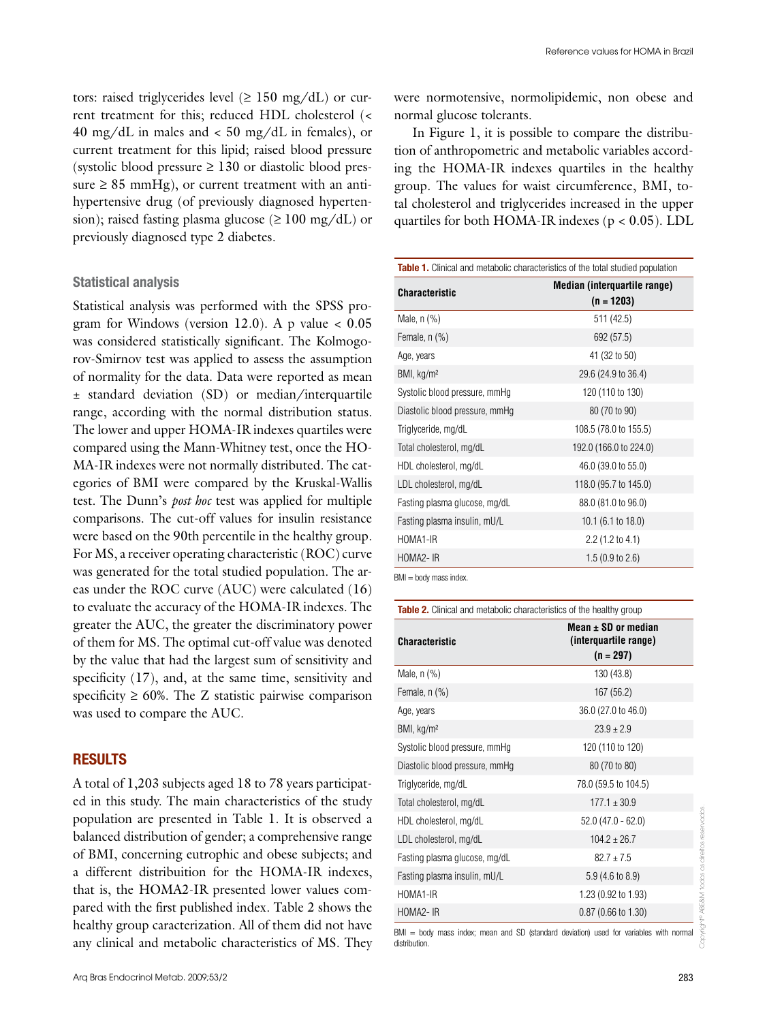tors: raised triglycerides level  $(\geq 150 \text{ mg/dL})$  or current treatment for this; reduced HDL cholesterol (< 40 mg/dL in males and < 50 mg/dL in females), or current treatment for this lipid; raised blood pressure (systolic blood pressure  $\geq 130$  or diastolic blood pressure  $\geq 85$  mmHg), or current treatment with an antihypertensive drug (of previously diagnosed hypertension); raised fasting plasma glucose (≥ 100 mg/dL) or previously diagnosed type 2 diabetes.

## Statistical analysis

Statistical analysis was performed with the SPSS program for Windows (version 12.0). A p value  $< 0.05$ was considered statistically significant. The Kolmogorov-Smirnov test was applied to assess the assumption of normality for the data. Data were reported as mean ± standard deviation (SD) or median/interquartile range, according with the normal distribution status. The lower and upper HOMA-IR indexes quartiles were compared using the Mann-Whitney test, once the HO-MA-IR indexes were not normally distributed. The categories of BMI were compared by the Kruskal-Wallis test. The Dunn's *post hoc* test was applied for multiple comparisons. The cut-off values for insulin resistance were based on the 90th percentile in the healthy group. For MS, a receiver operating characteristic (ROC) curve was generated for the total studied population. The areas under the ROC curve (AUC) were calculated (16) to evaluate the accuracy of the HOMA-IR indexes. The greater the AUC, the greater the discriminatory power of them for MS. The optimal cut-off value was denoted by the value that had the largest sum of sensitivity and specificity (17), and, at the same time, sensitivity and specificity  $\geq 60\%$ . The Z statistic pairwise comparison was used to compare the AUC.

## **RESULTS**

A total of 1,203 subjects aged 18 to 78 years participated in this study. The main characteristics of the study population are presented in Table 1. It is observed a balanced distribution of gender; a comprehensive range of BMI, concerning eutrophic and obese subjects; and a different distribuition for the HOMA-IR indexes, that is, the HOMA2-IR presented lower values compared with the first published index. Table 2 shows the healthy group caracterization. All of them did not have any clinical and metabolic characteristics of MS. They

were normotensive, normolipidemic, non obese and normal glucose tolerants.

In Figure 1, it is possible to compare the distribution of anthropometric and metabolic variables according the HOMA-IR indexes quartiles in the healthy group. The values for waist circumference, BMI, total cholesterol and triglycerides increased in the upper quartiles for both HOMA-IR indexes ( $p < 0.05$ ). LDL

| <b>Table 1.</b> Clinical and metabolic characteristics of the total studied population |                                              |  |
|----------------------------------------------------------------------------------------|----------------------------------------------|--|
| <b>Characteristic</b>                                                                  | Median (interquartile range)<br>$(n = 1203)$ |  |
| Male, $n$ $%$ )                                                                        | 511 (42.5)                                   |  |
| Female, $n$ $%$                                                                        | 692 (57.5)                                   |  |
| Age, years                                                                             | 41 (32 to 50)                                |  |
| BMI, kg/m <sup>2</sup>                                                                 | 29.6 (24.9 to 36.4)                          |  |
| Systolic blood pressure, mmHg                                                          | 120 (110 to 130)                             |  |
| Diastolic blood pressure, mmHg                                                         | 80 (70 to 90)                                |  |
| Triglyceride, mg/dL                                                                    | 108.5 (78.0 to 155.5)                        |  |
| Total cholesterol, mg/dL                                                               | 192.0 (166.0 to 224.0)                       |  |
| HDL cholesterol, mg/dL                                                                 | 46.0 (39.0 to 55.0)                          |  |
| LDL cholesterol, mg/dL                                                                 | 118.0 (95.7 to 145.0)                        |  |
| Fasting plasma glucose, mg/dL                                                          | 88.0 (81.0 to 96.0)                          |  |
| Fasting plasma insulin, mU/L                                                           | 10.1 $(6.1 \text{ to } 18.0)$                |  |
| HOMA1-IR                                                                               | $2.2$ (1.2 to 4.1)                           |  |
| HOMA2-IR                                                                               | 1.5(0.9 to 2.6)                              |  |
| $BM = body$ mass index.                                                                |                                              |  |

Table 2. Clinical and metabolic characteristics of the healthy group

| <b>Characteristic</b>          | Mean $\pm$ SD or median<br>(interquartile range)<br>$(n = 297)$ |  |
|--------------------------------|-----------------------------------------------------------------|--|
| Male, $n$ $%$ )                | 130 (43.8)                                                      |  |
| Female, $n$ $%$                | 167 (56.2)                                                      |  |
| Age, years                     | 36.0 (27.0 to 46.0)                                             |  |
| BMI, kg/m <sup>2</sup>         | $23.9 \pm 2.9$                                                  |  |
| Systolic blood pressure, mmHg  | 120 (110 to 120)                                                |  |
| Diastolic blood pressure, mmHg | 80 (70 to 80)                                                   |  |
| Triglyceride, mg/dL            | 78.0 (59.5 to 104.5)                                            |  |
| Total cholesterol, mg/dL       | $177.1 + 30.9$                                                  |  |
| HDL cholesterol, mg/dL         | $52.0(47.0 - 62.0)$                                             |  |
| LDL cholesterol, mg/dL         | $104.2 + 26.7$                                                  |  |
| Fasting plasma glucose, mg/dL  | $82.7 + 7.5$                                                    |  |
| Fasting plasma insulin, mU/L   | 5.9 (4.6 to 8.9)                                                |  |
| HOMA1-IR                       | 1.23 (0.92 to 1.93)                                             |  |
| HOMA2-IR                       | $0.87(0.66 \text{ to } 1.30)$                                   |  |

BMI = body mass index; mean and SD (standard deviation) used for variables with normal distribution.

Copyright© ABE&M todos os direitos reservados.

Copyright®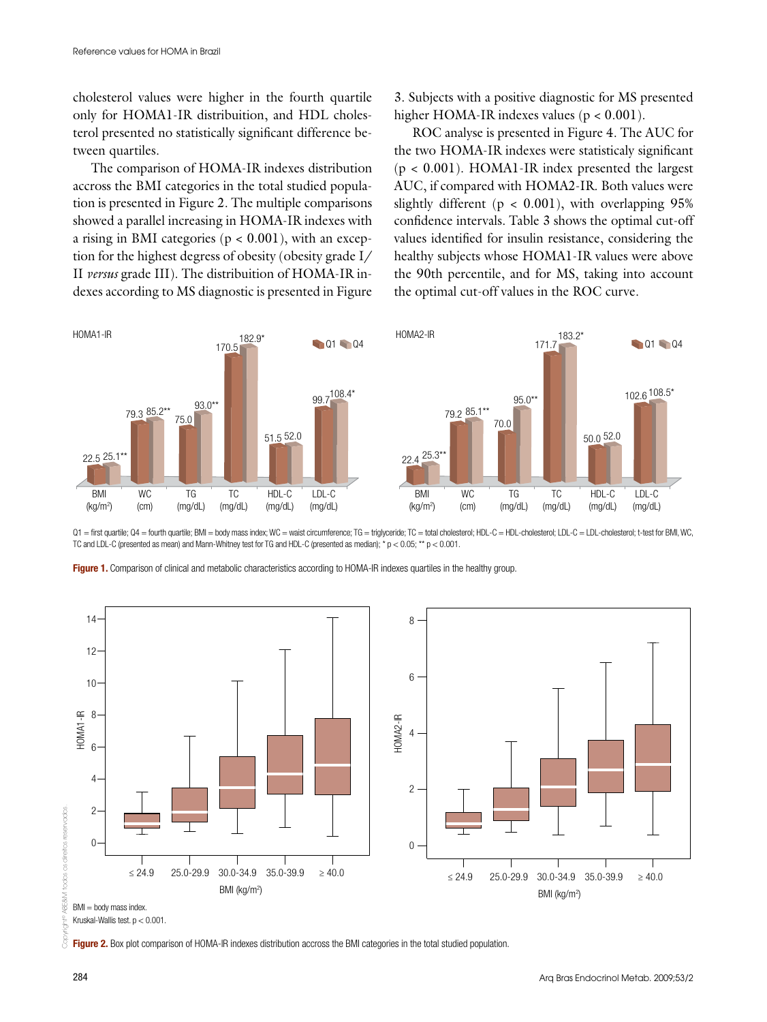cholesterol values were higher in the fourth quartile only for HOMA1-IR distribuition, and HDL cholesterol presented no statistically significant difference between quartiles.

The comparison of HOMA-IR indexes distribution accross the BMI categories in the total studied population is presented in Figure 2. The multiple comparisons showed a parallel increasing in HOMA-IR indexes with a rising in BMI categories  $(p < 0.001)$ , with an exception for the highest degress of obesity (obesity grade I/ II *versus* grade III). The distribuition of HOMA-IR indexes according to MS diagnostic is presented in Figure

3. Subjects with a positive diagnostic for MS presented higher HOMA-IR indexes values (p < 0.001).

ROC analyse is presented in Figure 4. The AUC for the two HOMA-IR indexes were statisticaly significant  $(p < 0.001)$ . HOMA1-IR index presented the largest AUC, if compared with HOMA2-IR. Both values were slightly different ( $p < 0.001$ ), with overlapping 95% confidence intervals. Table 3 shows the optimal cut-off values identified for insulin resistance, considering the healthy subjects whose HOMA1-IR values were above the 90th percentile, and for MS, taking into account the optimal cut-off values in the ROC curve.



 $Q1 =$  first quartile;  $Q4 =$  fourth quartile; BMI = body mass index; WC = waist circumference; TG = triglyceride; TC = total cholesterol; HDI -C = HDI -cholesterol; I DI -C = I DI -cholesterol; t-test for BMI, WC, TC and LDL-C (presented as mean) and Mann-Whitney test for TG and HDL-C (presented as median);  $* p < 0.05; ** p < 0.001$ .



Figure 1. Comparison of clinical and metabolic characteristics according to HOMA-IR indexes quartiles in the healthy group.

Kruskal-Wallis test. p < 0.001.

Figure 2. Box plot comparison of HOMA-IR indexes distribution accross the BMI categories in the total studied population.

ARE&A

g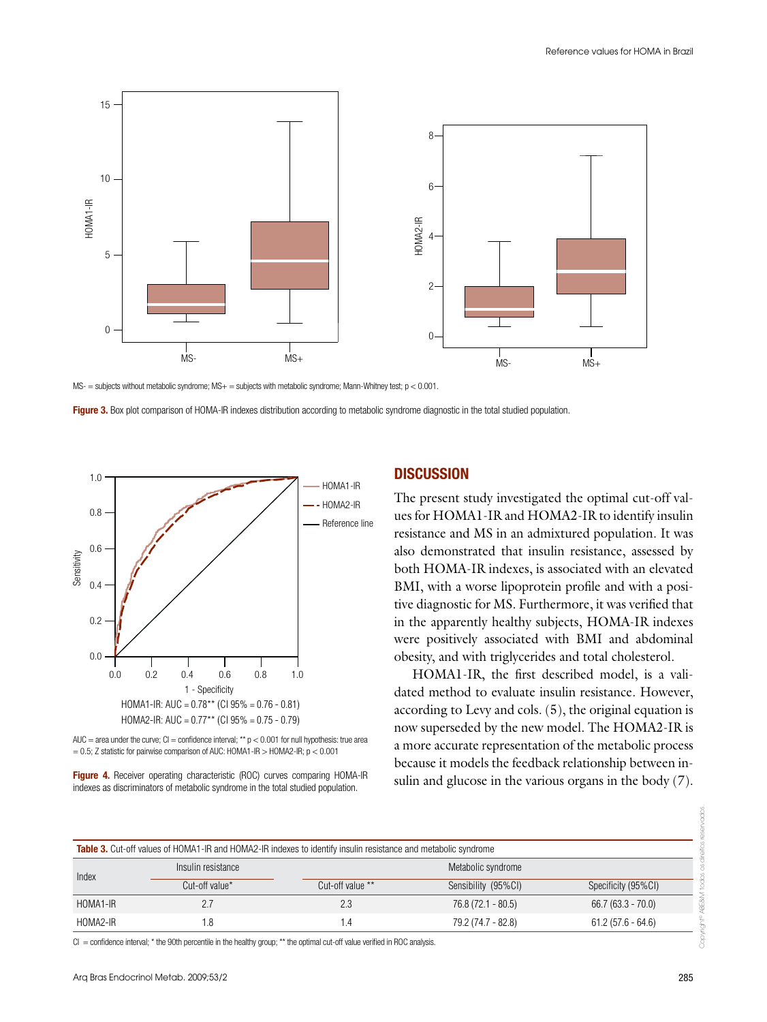

 $MS =$  subjects without metabolic syndrome;  $MS +$  = subjects with metabolic syndrome; Mann-Whitney test;  $p < 0.001$ .

Figure 3. Box plot comparison of HOMA-IR indexes distribution according to metabolic syndrome diagnostic in the total studied population.





Figure 4. Receiver operating characteristic (ROC) curves comparing HOMA-IR indexes as discriminators of metabolic syndrome in the total studied population.

# **DISCUSSION**

The present study investigated the optimal cut-off values for HOMA1-IR and HOMA2-IR to identify insulin resistance and MS in an admixtured population. It was also demonstrated that insulin resistance, assessed by both HOMA-IR indexes, is associated with an elevated BMI, with a worse lipoprotein profile and with a positive diagnostic for MS. Furthermore, it was verified that in the apparently healthy subjects, HOMA-IR indexes were positively associated with BMI and abdominal obesity, and with triglycerides and total cholesterol.

HOMA1-IR, the first described model, is a validated method to evaluate insulin resistance. However, according to Levy and cols. (5), the original equation is now superseded by the new model. The HOMA2-IR is a more accurate representation of the metabolic process because it models the feedback relationship between insulin and glucose in the various organs in the body (7).

| Insulin resistance | Metabolic syndrome |                     |                                                                                                                       |
|--------------------|--------------------|---------------------|-----------------------------------------------------------------------------------------------------------------------|
| Cut-off value*     | Cut-off value **   | Sensibility (95%CI) | Specificity (95%CI)                                                                                                   |
| 2.7                | 2.3                | $76.8(72.1 - 80.5)$ | $66.7(63.3 - 70.0)$                                                                                                   |
| 1.8                | 1.4                | 79.2 (74.7 - 82.8)  | $61.2(57.6 - 64.6)$                                                                                                   |
|                    |                    |                     | <b>Table 3.</b> Cut-off values of HOMA1-IR and HOMA2-IR indexes to identify insulin resistance and metabolic syndrome |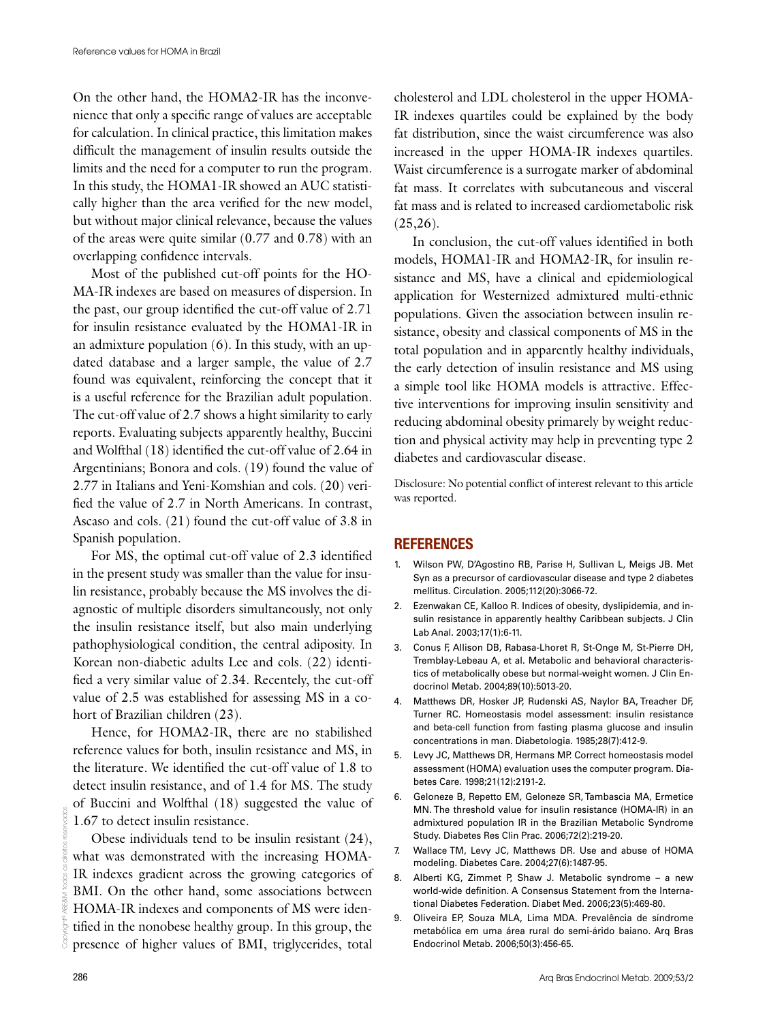On the other hand, the HOMA2-IR has the inconvenience that only a specific range of values are acceptable for calculation. In clinical practice, this limitation makes difficult the management of insulin results outside the limits and the need for a computer to run the program. In this study, the HOMA1-IR showed an AUC statistically higher than the area verified for the new model, but without major clinical relevance, because the values of the areas were quite similar (0.77 and 0.78) with an overlapping confidence intervals.

Most of the published cut-off points for the HO-MA-IR indexes are based on measures of dispersion. In the past, our group identified the cut-off value of 2.71 for insulin resistance evaluated by the HOMA1-IR in an admixture population (6). In this study, with an updated database and a larger sample, the value of 2.7 found was equivalent, reinforcing the concept that it is a useful reference for the Brazilian adult population. The cut-off value of 2.7 shows a hight similarity to early reports. Evaluating subjects apparently healthy, Buccini and Wolfthal (18) identified the cut-off value of 2.64 in Argentinians; Bonora and cols. (19) found the value of 2.77 in Italians and Yeni-Komshian and cols. (20) verified the value of 2.7 in North Americans. In contrast, Ascaso and cols. (21) found the cut-off value of 3.8 in Spanish population.

For MS, the optimal cut-off value of 2.3 identified in the present study was smaller than the value for insulin resistance, probably because the MS involves the diagnostic of multiple disorders simultaneously, not only the insulin resistance itself, but also main underlying pathophysiological condition, the central adiposity. In Korean non-diabetic adults Lee and cols. (22) identified a very similar value of 2.34. Recentely, the cut-off value of 2.5 was established for assessing MS in a cohort of Brazilian children (23).

Hence, for HOMA2-IR, there are no stabilished reference values for both, insulin resistance and MS, in the literature. We identified the cut-off value of 1.8 to detect insulin resistance, and of 1.4 for MS. The study of Buccini and Wolfthal (18) suggested the value of 1.67 to detect insulin resistance.

Obese individuals tend to be insulin resistant (24), what was demonstrated with the increasing HOMA-IR indexes gradient across the growing categories of BMI. On the other hand, some associations between HOMA-IR indexes and components of MS were identified in the nonobese healthy group. In this group, the presence of higher values of BMI, triglycerides, total

cholesterol and LDL cholesterol in the upper HOMA-IR indexes quartiles could be explained by the body fat distribution, since the waist circumference was also increased in the upper HOMA-IR indexes quartiles. Waist circumference is a surrogate marker of abdominal fat mass. It correlates with subcutaneous and visceral fat mass and is related to increased cardiometabolic risk  $(25,26)$ .

In conclusion, the cut-off values identified in both models, HOMA1-IR and HOMA2-IR, for insulin resistance and MS, have a clinical and epidemiological application for Westernized admixtured multi-ethnic populations. Given the association between insulin resistance, obesity and classical components of MS in the total population and in apparently healthy individuals, the early detection of insulin resistance and MS using a simple tool like HOMA models is attractive. Effective interventions for improving insulin sensitivity and reducing abdominal obesity primarely by weight reduction and physical activity may help in preventing type 2 diabetes and cardiovascular disease.

Disclosure: No potential conflict of interest relevant to this article was reported.

# **REFERENCES**

- 1. Wilson PW, D'Agostino RB, Parise H, Sullivan L, Meigs JB. Met Syn as a precursor of cardiovascular disease and type 2 diabetes mellitus. Circulation. 2005;112(20):3066-72.
- 2. Ezenwakan CE, Kalloo R. Indices of obesity, dyslipidemia, and insulin resistance in apparently healthy Caribbean subjects. J Clin Lab Anal. 2003;17(1):6-11.
- 3. Conus F, Allison DB, Rabasa-Lhoret R, St-Onge M, St-Pierre DH, Tremblay-Lebeau A, et al. Metabolic and behavioral characteristics of metabolically obese but normal-weight women. J Clin Endocrinol Metab. 2004;89(10):5013-20.
- 4. Matthews DR, Hosker JP, Rudenski AS, Naylor BA, Treacher DF, Turner RC. Homeostasis model assessment: insulin resistance and beta-cell function from fasting plasma glucose and insulin concentrations in man. Diabetologia. 1985;28(7):412-9.
- 5. Levy JC, Matthews DR, Hermans MP. Correct homeostasis model assessment (HOMA) evaluation uses the computer program. Diabetes Care. 1998;21(12):2191-2.
- 6. Geloneze B, Repetto EM, Geloneze SR, Tambascia MA, Ermetice MN. The threshold value for insulin resistance (HOMA-IR) in an admixtured population IR in the Brazilian Metabolic Syndrome Study. Diabetes Res Clin Prac. 2006;72(2):219-20.
- 7. Wallace TM, Levy JC, Matthews DR. Use and abuse of HOMA modeling. Diabetes Care. 2004;27(6):1487-95.
- 8. Alberti KG, Zimmet P, Shaw J. Metabolic syndrome a new world-wide definition. A Consensus Statement from the International Diabetes Federation. Diabet Med. 2006;23(5):469-80.
- 9. Oliveira EP, Souza MLA, Lima MDA. Prevalência de síndrome metabólica em uma área rural do semi-árido baiano. Arq Bras Endocrinol Metab. 2006;50(3):456-65.

Copyright© ABE&M todos os direitos reservados.